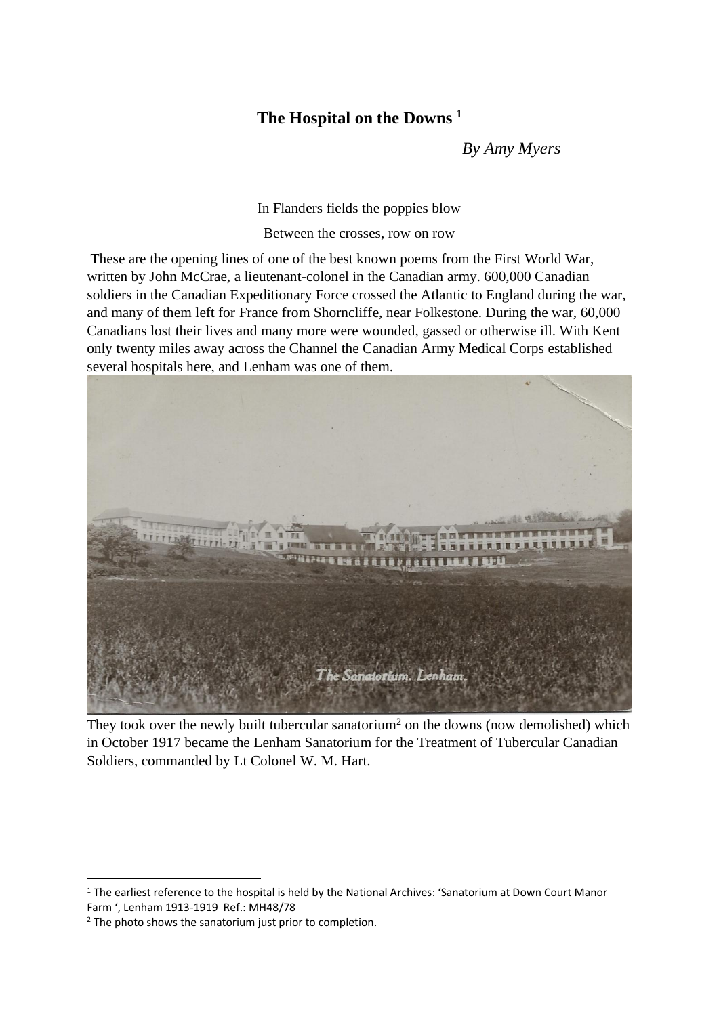## **The Hospital on the Downs <sup>1</sup>**

*By Amy Myers*

In Flanders fields the poppies blow

Between the crosses, row on row

These are the opening lines of one of the best known poems from the First World War, written by John McCrae, a lieutenant-colonel in the Canadian army. 600,000 Canadian soldiers in the Canadian Expeditionary Force crossed the Atlantic to England during the war, and many of them left for France from Shorncliffe, near Folkestone. During the war, 60,000 Canadians lost their lives and many more were wounded, gassed or otherwise ill. With Kent only twenty miles away across the Channel the Canadian Army Medical Corps established several hospitals here, and Lenham was one of them.



They took over the newly built tubercular sanatorium<sup>2</sup> on the downs (now demolished) which in October 1917 became the Lenham Sanatorium for the Treatment of Tubercular Canadian Soldiers, commanded by Lt Colonel W. M. Hart.

<sup>&</sup>lt;sup>1</sup> The earliest reference to the hospital is held by the National Archives: 'Sanatorium at Down Court Manor Farm ', Lenham 1913-1919 Ref.: MH48/78

<sup>&</sup>lt;sup>2</sup> The photo shows the sanatorium just prior to completion.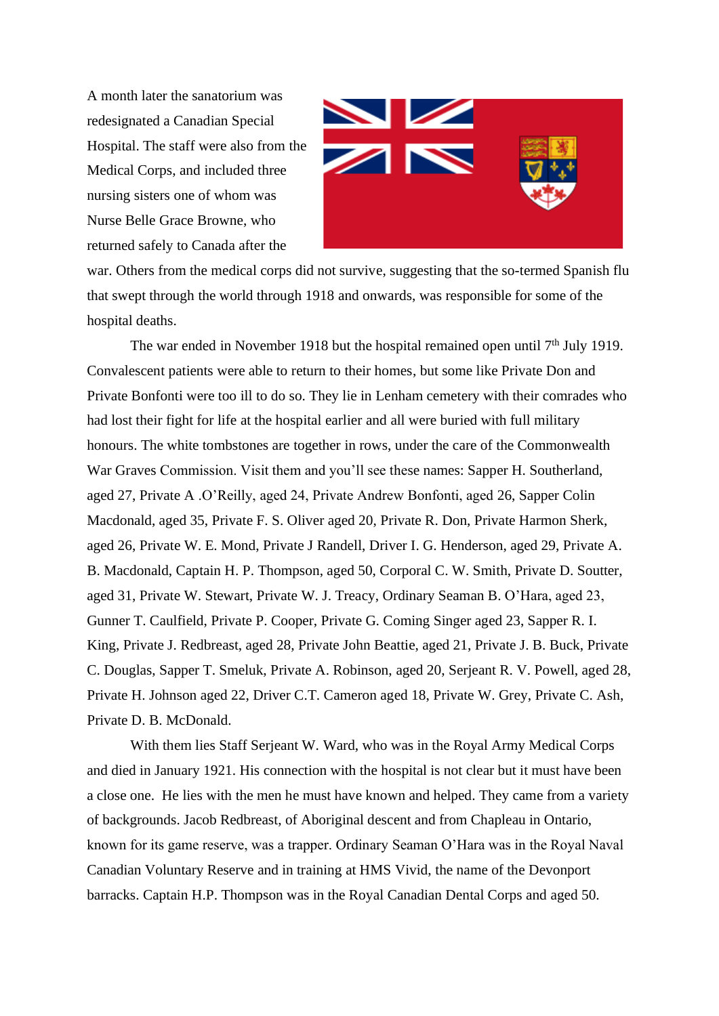A month later the sanatorium was redesignated a Canadian Special Hospital. The staff were also from the Medical Corps, and included three nursing sisters one of whom was Nurse Belle Grace Browne, who returned safely to Canada after the



war. Others from the medical corps did not survive, suggesting that the so-termed Spanish flu that swept through the world through 1918 and onwards, was responsible for some of the hospital deaths.

The war ended in November 1918 but the hospital remained open until 7<sup>th</sup> July 1919. Convalescent patients were able to return to their homes, but some like Private Don and Private Bonfonti were too ill to do so. They lie in Lenham cemetery with their comrades who had lost their fight for life at the hospital earlier and all were buried with full military honours. The white tombstones are together in rows, under the care of the Commonwealth War Graves Commission. Visit them and you'll see these names: Sapper H. Southerland, aged 27, Private A .O'Reilly, aged 24, Private Andrew Bonfonti, aged 26, Sapper Colin Macdonald, aged 35, Private F. S. Oliver aged 20, Private R. Don, Private Harmon Sherk, aged 26, Private W. E. Mond, Private J Randell, Driver I. G. Henderson, aged 29, Private A. B. Macdonald, Captain H. P. Thompson, aged 50, Corporal C. W. Smith, Private D. Soutter, aged 31, Private W. Stewart, Private W. J. Treacy, Ordinary Seaman B. O'Hara, aged 23, Gunner T. Caulfield, Private P. Cooper, Private G. Coming Singer aged 23, Sapper R. I. King, Private J. Redbreast, aged 28, Private John Beattie, aged 21, Private J. B. Buck, Private C. Douglas, Sapper T. Smeluk, Private A. Robinson, aged 20, Serjeant R. V. Powell, aged 28, Private H. Johnson aged 22, Driver C.T. Cameron aged 18, Private W. Grey, Private C. Ash, Private D. B. McDonald.

With them lies Staff Serjeant W. Ward, who was in the Royal Army Medical Corps and died in January 1921. His connection with the hospital is not clear but it must have been a close one. He lies with the men he must have known and helped. They came from a variety of backgrounds. Jacob Redbreast, of Aboriginal descent and from Chapleau in Ontario, known for its game reserve, was a trapper. Ordinary Seaman O'Hara was in the Royal Naval Canadian Voluntary Reserve and in training at HMS Vivid, the name of the Devonport barracks. Captain H.P. Thompson was in the Royal Canadian Dental Corps and aged 50.